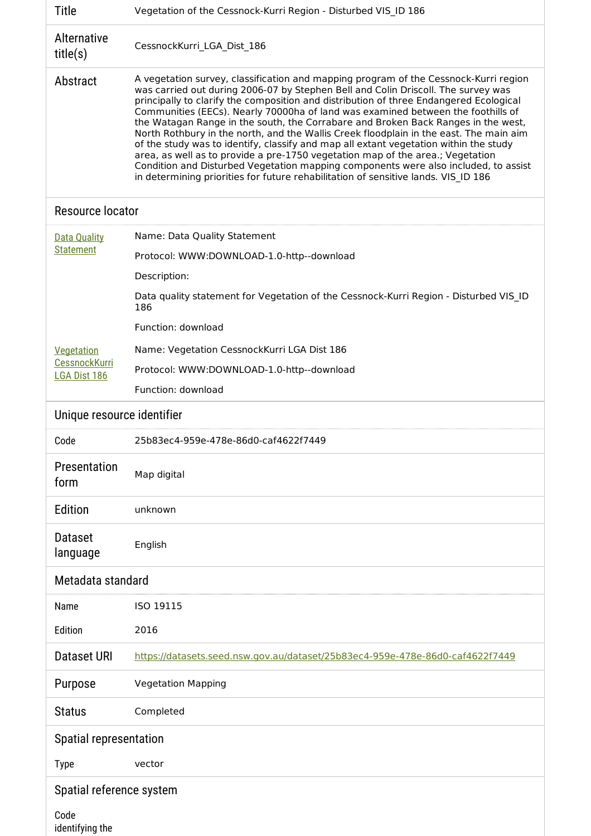| <b>Title</b>                                | Vegetation of the Cessnock-Kurri Region - Disturbed VIS ID 186                                                                                                                                                                                                                                                                                                                                                                                                                                                                                                                                                                                                                                                                                                                                                                                                                                 |  |  |
|---------------------------------------------|------------------------------------------------------------------------------------------------------------------------------------------------------------------------------------------------------------------------------------------------------------------------------------------------------------------------------------------------------------------------------------------------------------------------------------------------------------------------------------------------------------------------------------------------------------------------------------------------------------------------------------------------------------------------------------------------------------------------------------------------------------------------------------------------------------------------------------------------------------------------------------------------|--|--|
| Alternative<br>title(s)                     | CessnockKurri_LGA_Dist_186                                                                                                                                                                                                                                                                                                                                                                                                                                                                                                                                                                                                                                                                                                                                                                                                                                                                     |  |  |
| Abstract                                    | A vegetation survey, classification and mapping program of the Cessnock-Kurri region<br>was carried out during 2006-07 by Stephen Bell and Colin Driscoll. The survey was<br>principally to clarify the composition and distribution of three Endangered Ecological<br>Communities (EECs). Nearly 70000ha of land was examined between the foothills of<br>the Watagan Range in the south, the Corrabare and Broken Back Ranges in the west,<br>North Rothbury in the north, and the Wallis Creek floodplain in the east. The main aim<br>of the study was to identify, classify and map all extant vegetation within the study<br>area, as well as to provide a pre-1750 vegetation map of the area.; Vegetation<br>Condition and Disturbed Vegetation mapping components were also included, to assist<br>in determining priorities for future rehabilitation of sensitive lands. VIS ID 186 |  |  |
| Resource locator                            |                                                                                                                                                                                                                                                                                                                                                                                                                                                                                                                                                                                                                                                                                                                                                                                                                                                                                                |  |  |
| <b>Data Quality</b><br><b>Statement</b>     | Name: Data Quality Statement                                                                                                                                                                                                                                                                                                                                                                                                                                                                                                                                                                                                                                                                                                                                                                                                                                                                   |  |  |
|                                             | Protocol: WWW:DOWNLOAD-1.0-http--download                                                                                                                                                                                                                                                                                                                                                                                                                                                                                                                                                                                                                                                                                                                                                                                                                                                      |  |  |
|                                             | Description:                                                                                                                                                                                                                                                                                                                                                                                                                                                                                                                                                                                                                                                                                                                                                                                                                                                                                   |  |  |
|                                             | Data quality statement for Vegetation of the Cessnock-Kurri Region - Disturbed VIS ID<br>186                                                                                                                                                                                                                                                                                                                                                                                                                                                                                                                                                                                                                                                                                                                                                                                                   |  |  |
|                                             | Function: download                                                                                                                                                                                                                                                                                                                                                                                                                                                                                                                                                                                                                                                                                                                                                                                                                                                                             |  |  |
| Vegetation                                  | Name: Vegetation CessnockKurri LGA Dist 186                                                                                                                                                                                                                                                                                                                                                                                                                                                                                                                                                                                                                                                                                                                                                                                                                                                    |  |  |
| <b>CessnockKurri</b><br><b>LGA Dist 186</b> | Protocol: WWW:DOWNLOAD-1.0-http--download                                                                                                                                                                                                                                                                                                                                                                                                                                                                                                                                                                                                                                                                                                                                                                                                                                                      |  |  |
|                                             | Function: download                                                                                                                                                                                                                                                                                                                                                                                                                                                                                                                                                                                                                                                                                                                                                                                                                                                                             |  |  |
| Unique resource identifier                  |                                                                                                                                                                                                                                                                                                                                                                                                                                                                                                                                                                                                                                                                                                                                                                                                                                                                                                |  |  |
| Code                                        | 25b83ec4-959e-478e-86d0-caf4622f7449                                                                                                                                                                                                                                                                                                                                                                                                                                                                                                                                                                                                                                                                                                                                                                                                                                                           |  |  |
| Presentation<br>form                        | Map digital                                                                                                                                                                                                                                                                                                                                                                                                                                                                                                                                                                                                                                                                                                                                                                                                                                                                                    |  |  |
| Edition                                     | unknown                                                                                                                                                                                                                                                                                                                                                                                                                                                                                                                                                                                                                                                                                                                                                                                                                                                                                        |  |  |
| <b>Dataset</b><br>language                  | English                                                                                                                                                                                                                                                                                                                                                                                                                                                                                                                                                                                                                                                                                                                                                                                                                                                                                        |  |  |
| Metadata standard                           |                                                                                                                                                                                                                                                                                                                                                                                                                                                                                                                                                                                                                                                                                                                                                                                                                                                                                                |  |  |
| Name                                        | ISO 19115                                                                                                                                                                                                                                                                                                                                                                                                                                                                                                                                                                                                                                                                                                                                                                                                                                                                                      |  |  |
| Edition                                     | 2016                                                                                                                                                                                                                                                                                                                                                                                                                                                                                                                                                                                                                                                                                                                                                                                                                                                                                           |  |  |
| <b>Dataset URI</b>                          | https://datasets.seed.nsw.gov.au/dataset/25b83ec4-959e-478e-86d0-caf4622f7449                                                                                                                                                                                                                                                                                                                                                                                                                                                                                                                                                                                                                                                                                                                                                                                                                  |  |  |
| Purpose                                     | <b>Vegetation Mapping</b>                                                                                                                                                                                                                                                                                                                                                                                                                                                                                                                                                                                                                                                                                                                                                                                                                                                                      |  |  |
| <b>Status</b>                               | Completed                                                                                                                                                                                                                                                                                                                                                                                                                                                                                                                                                                                                                                                                                                                                                                                                                                                                                      |  |  |
| Spatial representation                      |                                                                                                                                                                                                                                                                                                                                                                                                                                                                                                                                                                                                                                                                                                                                                                                                                                                                                                |  |  |
| <b>Type</b>                                 | vector                                                                                                                                                                                                                                                                                                                                                                                                                                                                                                                                                                                                                                                                                                                                                                                                                                                                                         |  |  |
| Spatial reference system                    |                                                                                                                                                                                                                                                                                                                                                                                                                                                                                                                                                                                                                                                                                                                                                                                                                                                                                                |  |  |
| Code<br>identifying the                     |                                                                                                                                                                                                                                                                                                                                                                                                                                                                                                                                                                                                                                                                                                                                                                                                                                                                                                |  |  |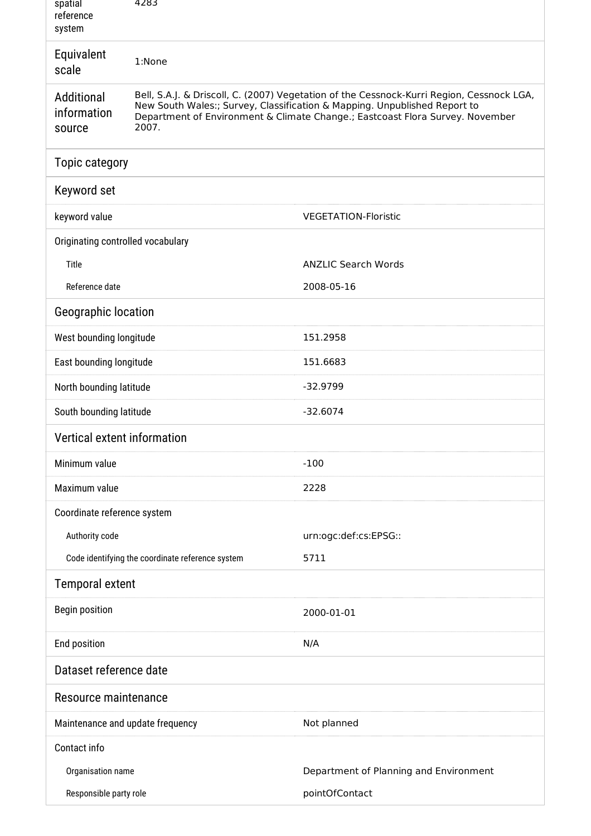| spatial<br>reference<br>system      | 4283                                                                                                                                                                                                                                                             |                                        |  |  |
|-------------------------------------|------------------------------------------------------------------------------------------------------------------------------------------------------------------------------------------------------------------------------------------------------------------|----------------------------------------|--|--|
| Equivalent<br>scale                 | 1:None                                                                                                                                                                                                                                                           |                                        |  |  |
| Additional<br>information<br>source | Bell, S.A.J. & Driscoll, C. (2007) Vegetation of the Cessnock-Kurri Region, Cessnock LGA,<br>New South Wales:; Survey, Classification & Mapping. Unpublished Report to<br>Department of Environment & Climate Change.; Eastcoast Flora Survey. November<br>2007. |                                        |  |  |
| Topic category                      |                                                                                                                                                                                                                                                                  |                                        |  |  |
| Keyword set                         |                                                                                                                                                                                                                                                                  |                                        |  |  |
| keyword value                       |                                                                                                                                                                                                                                                                  | <b>VEGETATION-Floristic</b>            |  |  |
| Originating controlled vocabulary   |                                                                                                                                                                                                                                                                  |                                        |  |  |
| Title                               |                                                                                                                                                                                                                                                                  | <b>ANZLIC Search Words</b>             |  |  |
| Reference date                      |                                                                                                                                                                                                                                                                  | 2008-05-16                             |  |  |
| Geographic location                 |                                                                                                                                                                                                                                                                  |                                        |  |  |
| West bounding longitude             |                                                                                                                                                                                                                                                                  | 151.2958                               |  |  |
| East bounding longitude             |                                                                                                                                                                                                                                                                  | 151.6683                               |  |  |
| North bounding latitude             |                                                                                                                                                                                                                                                                  | $-32.9799$                             |  |  |
| South bounding latitude             |                                                                                                                                                                                                                                                                  | $-32.6074$                             |  |  |
| Vertical extent information         |                                                                                                                                                                                                                                                                  |                                        |  |  |
| Minimum value                       |                                                                                                                                                                                                                                                                  | $-100$                                 |  |  |
| Maximum value                       |                                                                                                                                                                                                                                                                  | 2228                                   |  |  |
| Coordinate reference system         |                                                                                                                                                                                                                                                                  |                                        |  |  |
| Authority code                      |                                                                                                                                                                                                                                                                  | urn:ogc:def:cs:EPSG::                  |  |  |
|                                     | Code identifying the coordinate reference system                                                                                                                                                                                                                 | 5711                                   |  |  |
| <b>Temporal extent</b>              |                                                                                                                                                                                                                                                                  |                                        |  |  |
| <b>Begin position</b>               |                                                                                                                                                                                                                                                                  | 2000-01-01                             |  |  |
| End position                        |                                                                                                                                                                                                                                                                  | N/A                                    |  |  |
| Dataset reference date              |                                                                                                                                                                                                                                                                  |                                        |  |  |
| Resource maintenance                |                                                                                                                                                                                                                                                                  |                                        |  |  |
| Maintenance and update frequency    |                                                                                                                                                                                                                                                                  | Not planned                            |  |  |
| Contact info                        |                                                                                                                                                                                                                                                                  |                                        |  |  |
| Organisation name                   |                                                                                                                                                                                                                                                                  | Department of Planning and Environment |  |  |
| Responsible party role              |                                                                                                                                                                                                                                                                  | pointOfContact                         |  |  |